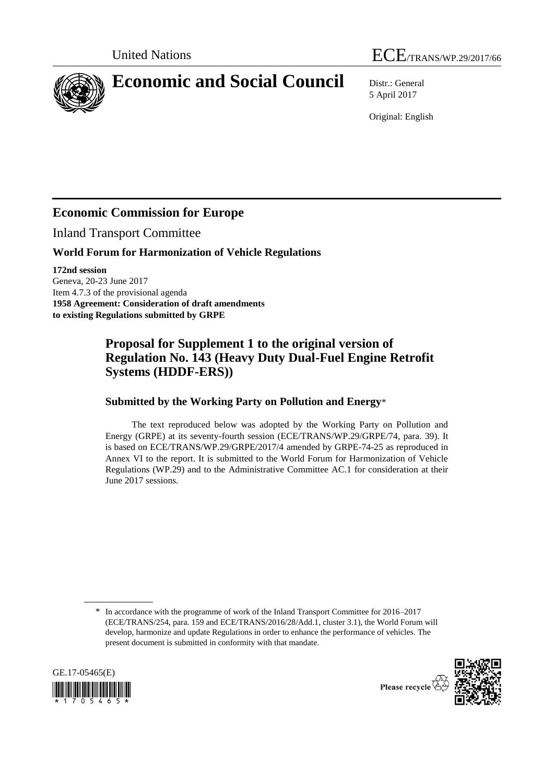



5 April 2017

Original: English

# **Economic Commission for Europe**

Inland Transport Committee

### **World Forum for Harmonization of Vehicle Regulations**

**172nd session** Geneva, 20-23 June 2017 Item 4.7.3 of the provisional agenda **1958 Agreement: Consideration of draft amendments to existing Regulations submitted by GRPE**

## **Proposal for Supplement 1 to the original version of Regulation No. 143 (Heavy Duty Dual-Fuel Engine Retrofit Systems (HDDF-ERS))**

### **Submitted by the Working Party on Pollution and Energy**\*

The text reproduced below was adopted by the Working Party on Pollution and Energy (GRPE) at its seventy-fourth session (ECE/TRANS/WP.29/GRPE/74, para. 39). It is based on ECE/TRANS/WP.29/GRPE/2017/4 amended by GRPE-74-25 as reproduced in Annex VI to the report. It is submitted to the World Forum for Harmonization of Vehicle Regulations (WP.29) and to the Administrative Committee AC.1 for consideration at their June 2017 sessions.

<sup>\*</sup> In accordance with the programme of work of the Inland Transport Committee for 2016–2017 (ECE/TRANS/254, para. 159 and ECE/TRANS/2016/28/Add.1, cluster 3.1), the World Forum will develop, harmonize and update Regulations in order to enhance the performance of vehicles. The present document is submitted in conformity with that mandate.





Please recycle  $\overline{\overline{X}}$